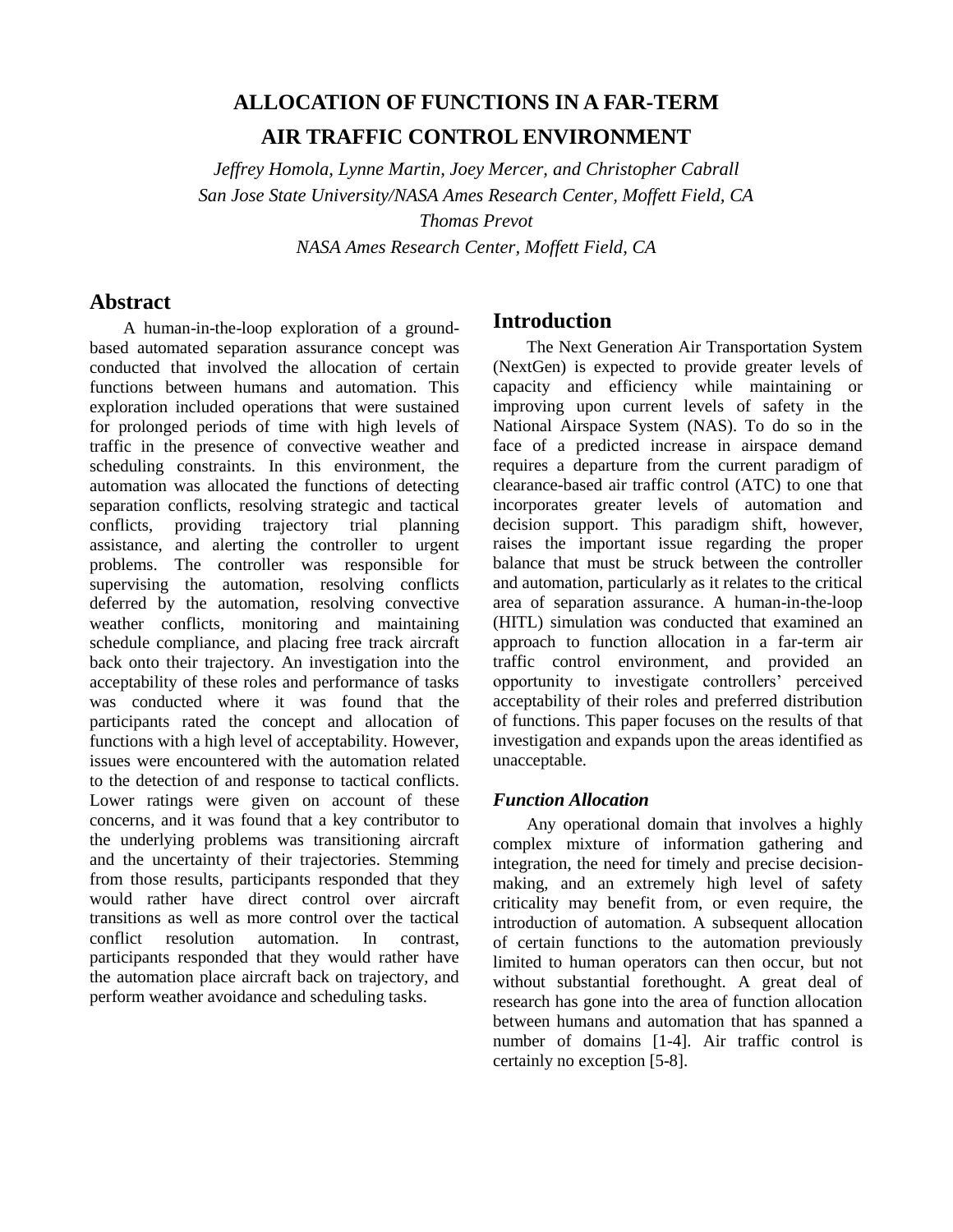# **ALLOCATION OF FUNCTIONS IN A FAR-TERM AIR TRAFFIC CONTROL ENVIRONMENT**

*Jeffrey Homola, Lynne Martin, Joey Mercer, and Christopher Cabrall San Jose State University/NASA Ames Research Center, Moffett Field, CA Thomas Prevot*

*NASA Ames Research Center, Moffett Field, CA*

## **Abstract**

A human-in-the-loop exploration of a groundbased automated separation assurance concept was conducted that involved the allocation of certain functions between humans and automation. This exploration included operations that were sustained for prolonged periods of time with high levels of traffic in the presence of convective weather and scheduling constraints. In this environment, the automation was allocated the functions of detecting separation conflicts, resolving strategic and tactical conflicts, providing trajectory trial planning assistance, and alerting the controller to urgent problems. The controller was responsible for supervising the automation, resolving conflicts deferred by the automation, resolving convective weather conflicts, monitoring and maintaining schedule compliance, and placing free track aircraft back onto their trajectory. An investigation into the acceptability of these roles and performance of tasks was conducted where it was found that the participants rated the concept and allocation of functions with a high level of acceptability. However, issues were encountered with the automation related to the detection of and response to tactical conflicts. Lower ratings were given on account of these concerns, and it was found that a key contributor to the underlying problems was transitioning aircraft and the uncertainty of their trajectories. Stemming from those results, participants responded that they would rather have direct control over aircraft transitions as well as more control over the tactical conflict resolution automation. In contrast, participants responded that they would rather have the automation place aircraft back on trajectory, and perform weather avoidance and scheduling tasks.

# **Introduction**

The Next Generation Air Transportation System (NextGen) is expected to provide greater levels of capacity and efficiency while maintaining or improving upon current levels of safety in the National Airspace System (NAS). To do so in the face of a predicted increase in airspace demand requires a departure from the current paradigm of clearance-based air traffic control (ATC) to one that incorporates greater levels of automation and decision support. This paradigm shift, however, raises the important issue regarding the proper balance that must be struck between the controller and automation, particularly as it relates to the critical area of separation assurance. A human-in-the-loop (HITL) simulation was conducted that examined an approach to function allocation in a far-term air traffic control environment, and provided an opportunity to investigate controllers' perceived acceptability of their roles and preferred distribution of functions. This paper focuses on the results of that investigation and expands upon the areas identified as unacceptable.

## *Function Allocation*

Any operational domain that involves a highly complex mixture of information gathering and integration, the need for timely and precise decisionmaking, and an extremely high level of safety criticality may benefit from, or even require, the introduction of automation. A subsequent allocation of certain functions to the automation previously limited to human operators can then occur, but not without substantial forethought. A great deal of research has gone into the area of function allocation between humans and automation that has spanned a number of domains [1-4]. Air traffic control is certainly no exception [5-8].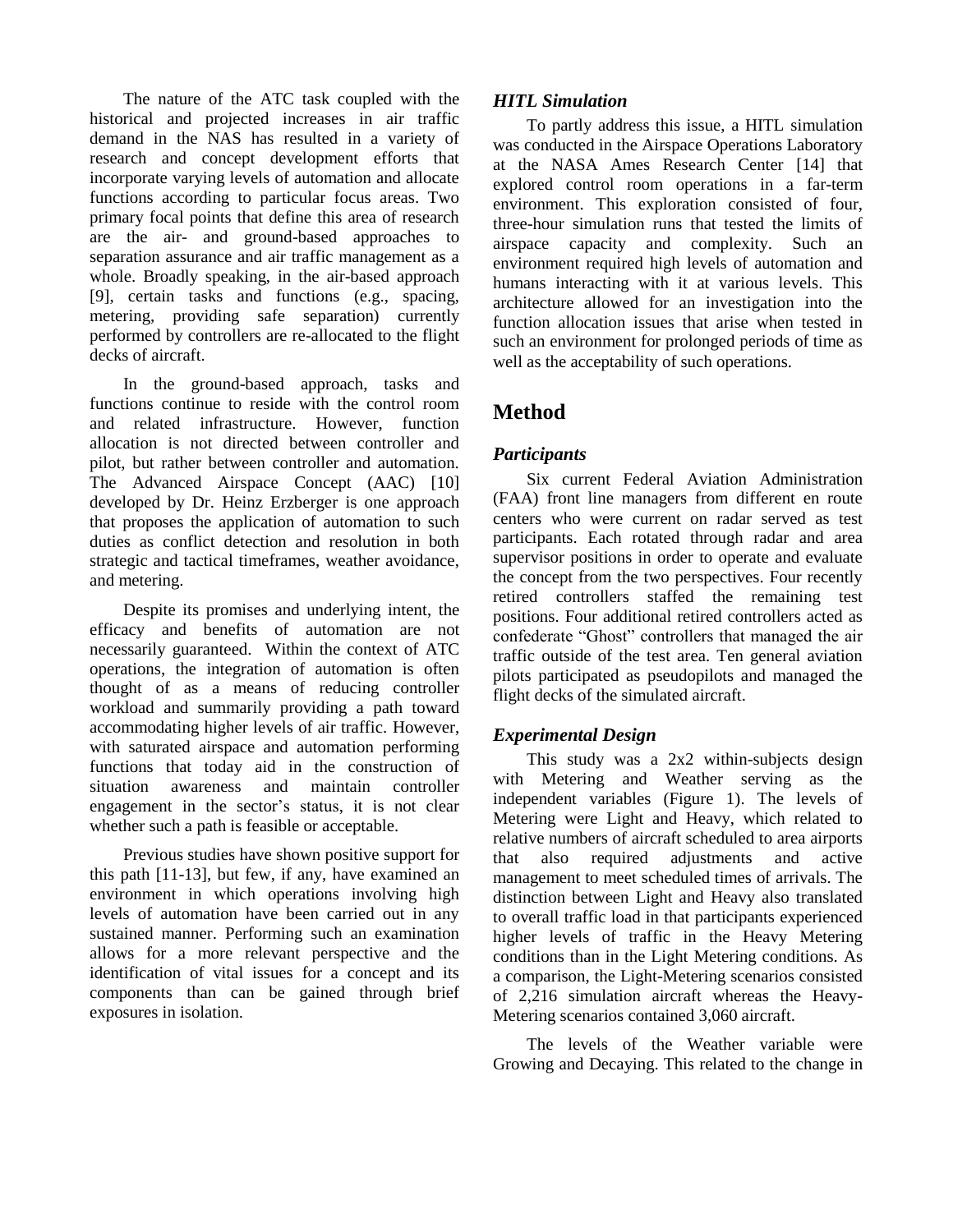The nature of the ATC task coupled with the historical and projected increases in air traffic demand in the NAS has resulted in a variety of research and concept development efforts that incorporate varying levels of automation and allocate functions according to particular focus areas. Two primary focal points that define this area of research are the air- and ground-based approaches to separation assurance and air traffic management as a whole. Broadly speaking, in the air-based approach [9], certain tasks and functions (e.g., spacing, metering, providing safe separation) currently performed by controllers are re-allocated to the flight decks of aircraft.

In the ground-based approach, tasks and functions continue to reside with the control room and related infrastructure. However, function allocation is not directed between controller and pilot, but rather between controller and automation. The Advanced Airspace Concept (AAC) [10] developed by Dr. Heinz Erzberger is one approach that proposes the application of automation to such duties as conflict detection and resolution in both strategic and tactical timeframes, weather avoidance, and metering.

Despite its promises and underlying intent, the efficacy and benefits of automation are not necessarily guaranteed. Within the context of ATC operations, the integration of automation is often thought of as a means of reducing controller workload and summarily providing a path toward accommodating higher levels of air traffic. However, with saturated airspace and automation performing functions that today aid in the construction of situation awareness and maintain controller engagement in the sector's status, it is not clear whether such a path is feasible or acceptable.

Previous studies have shown positive support for this path [11-13], but few, if any, have examined an environment in which operations involving high levels of automation have been carried out in any sustained manner. Performing such an examination allows for a more relevant perspective and the identification of vital issues for a concept and its components than can be gained through brief exposures in isolation.

## *HITL Simulation*

To partly address this issue, a HITL simulation was conducted in the Airspace Operations Laboratory at the NASA Ames Research Center [14] that explored control room operations in a far-term environment. This exploration consisted of four, three-hour simulation runs that tested the limits of airspace capacity and complexity. Such an environment required high levels of automation and humans interacting with it at various levels. This architecture allowed for an investigation into the function allocation issues that arise when tested in such an environment for prolonged periods of time as well as the acceptability of such operations.

# **Method**

## *Participants*

Six current Federal Aviation Administration (FAA) front line managers from different en route centers who were current on radar served as test participants. Each rotated through radar and area supervisor positions in order to operate and evaluate the concept from the two perspectives. Four recently retired controllers staffed the remaining test positions. Four additional retired controllers acted as confederate "Ghost" controllers that managed the air traffic outside of the test area. Ten general aviation pilots participated as pseudopilots and managed the flight decks of the simulated aircraft.

## *Experimental Design*

This study was a 2x2 within-subjects design with Metering and Weather serving as the independent variables (Figure 1). The levels of Metering were Light and Heavy, which related to relative numbers of aircraft scheduled to area airports that also required adjustments and active management to meet scheduled times of arrivals. The distinction between Light and Heavy also translated to overall traffic load in that participants experienced higher levels of traffic in the Heavy Metering conditions than in the Light Metering conditions. As a comparison, the Light-Metering scenarios consisted of 2,216 simulation aircraft whereas the Heavy-Metering scenarios contained 3,060 aircraft.

The levels of the Weather variable were Growing and Decaying. This related to the change in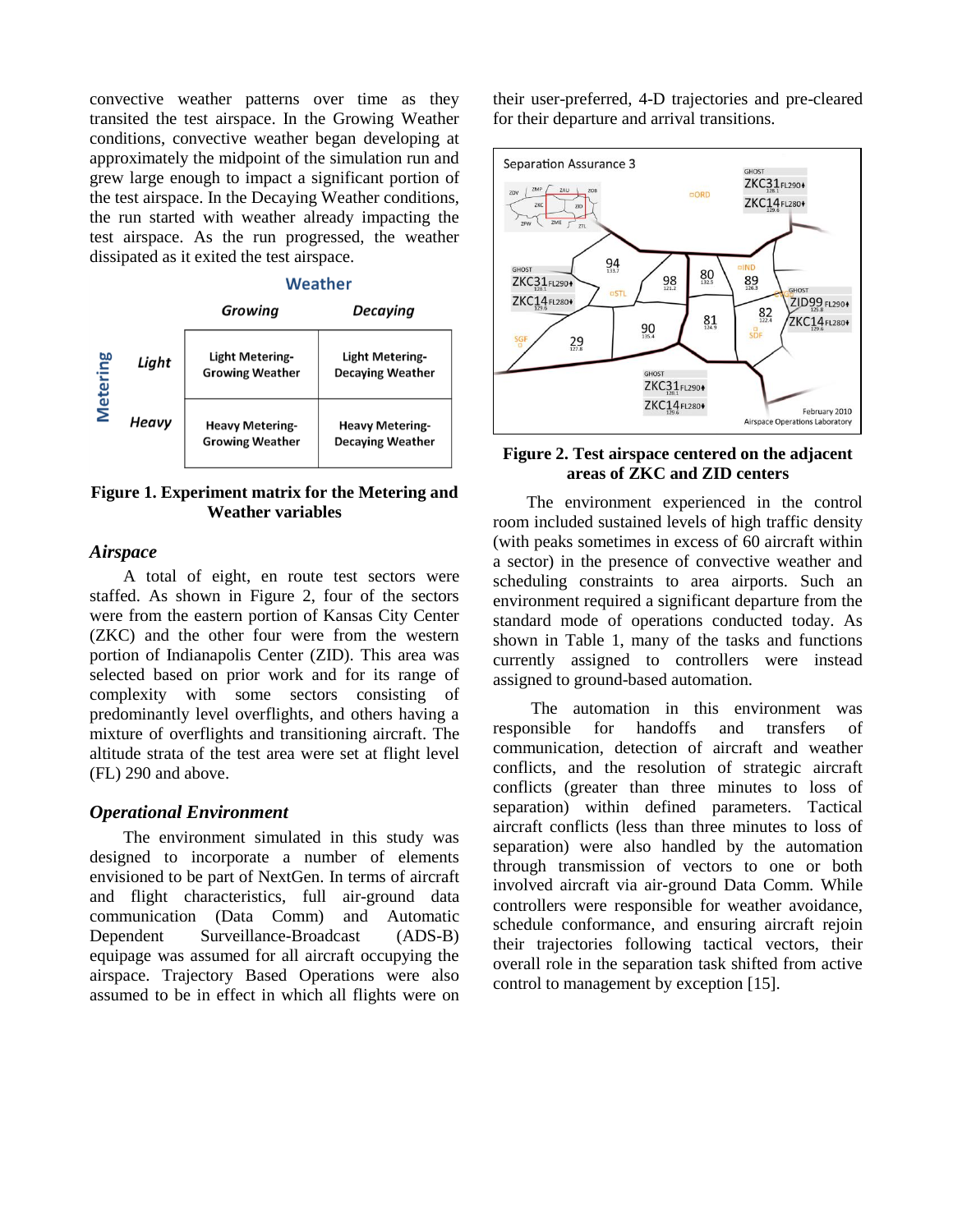convective weather patterns over time as they transited the test airspace. In the Growing Weather conditions, convective weather began developing at approximately the midpoint of the simulation run and grew large enough to impact a significant portion of the test airspace. In the Decaying Weather conditions, the run started with weather already impacting the test airspace. As the run progressed, the weather dissipated as it exited the test airspace.



**Figure 1. Experiment matrix for the Metering and Weather variables**

#### *Airspace*

A total of eight, en route test sectors were staffed. As shown in Figure 2, four of the sectors were from the eastern portion of Kansas City Center (ZKC) and the other four were from the western portion of Indianapolis Center (ZID). This area was selected based on prior work and for its range of complexity with some sectors consisting of predominantly level overflights, and others having a mixture of overflights and transitioning aircraft. The altitude strata of the test area were set at flight level (FL) 290 and above.

#### *Operational Environment*

The environment simulated in this study was designed to incorporate a number of elements envisioned to be part of NextGen. In terms of aircraft and flight characteristics, full air-ground data communication (Data Comm) and Automatic Dependent Surveillance-Broadcast (ADS-B) equipage was assumed for all aircraft occupying the airspace. Trajectory Based Operations were also assumed to be in effect in which all flights were on their user-preferred, 4-D trajectories and pre-cleared for their departure and arrival transitions.



#### **Figure 2. Test airspace centered on the adjacent areas of ZKC and ZID centers**

The environment experienced in the control room included sustained levels of high traffic density (with peaks sometimes in excess of 60 aircraft within a sector) in the presence of convective weather and scheduling constraints to area airports. Such an environment required a significant departure from the standard mode of operations conducted today. As shown in Table 1, many of the tasks and functions currently assigned to controllers were instead assigned to ground-based automation.

The automation in this environment was responsible for handoffs and transfers of communication, detection of aircraft and weather conflicts, and the resolution of strategic aircraft conflicts (greater than three minutes to loss of separation) within defined parameters. Tactical aircraft conflicts (less than three minutes to loss of separation) were also handled by the automation through transmission of vectors to one or both involved aircraft via air-ground Data Comm. While controllers were responsible for weather avoidance, schedule conformance, and ensuring aircraft rejoin their trajectories following tactical vectors, their overall role in the separation task shifted from active control to management by exception [15].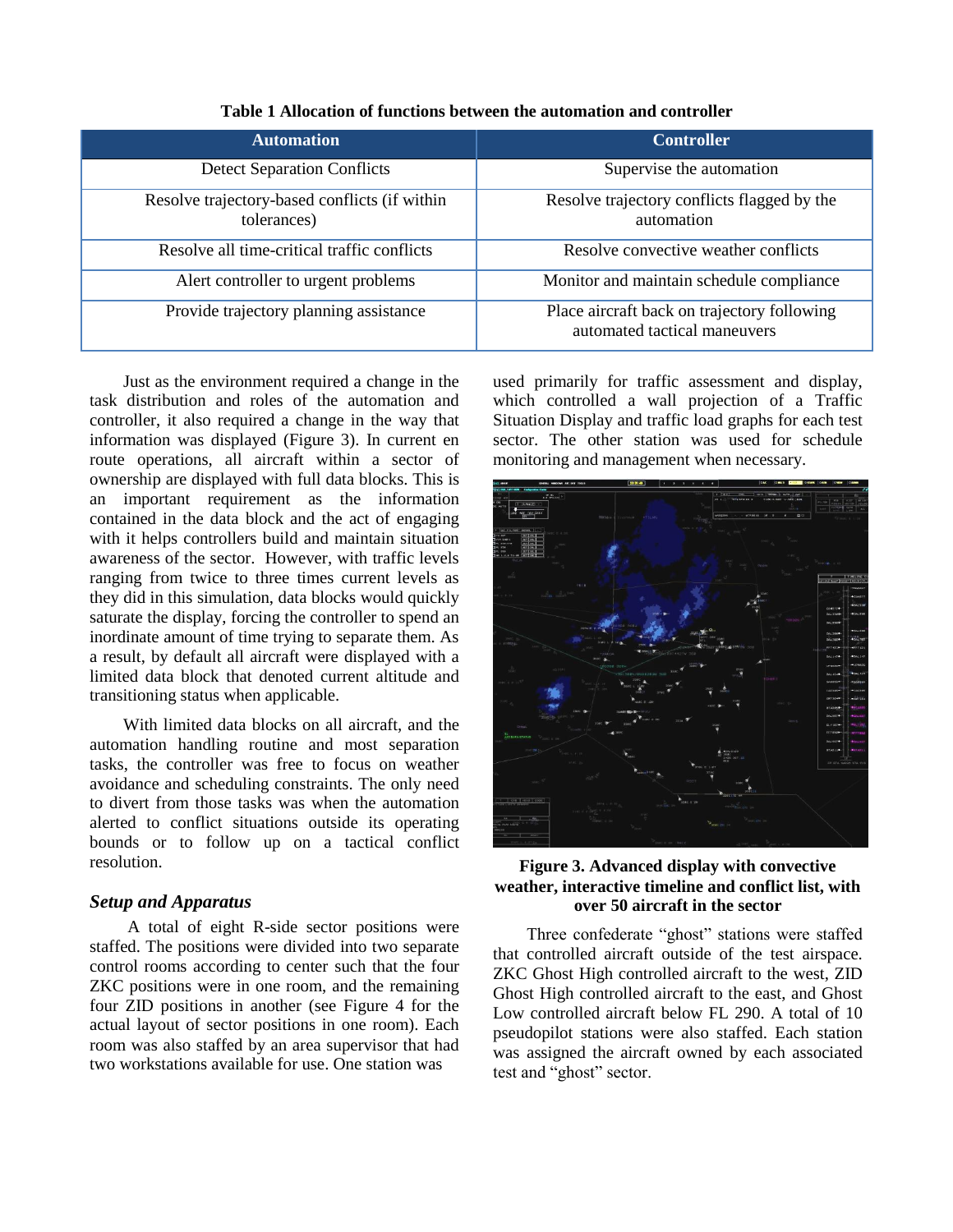| <b>Automation</b>                                            | <b>Controller</b>                                                           |
|--------------------------------------------------------------|-----------------------------------------------------------------------------|
| <b>Detect Separation Conflicts</b>                           | Supervise the automation                                                    |
| Resolve trajectory-based conflicts (if within<br>tolerances) | Resolve trajectory conflicts flagged by the<br>automation                   |
| Resolve all time-critical traffic conflicts                  | Resolve convective weather conflicts                                        |
| Alert controller to urgent problems                          | Monitor and maintain schedule compliance                                    |
| Provide trajectory planning assistance                       | Place aircraft back on trajectory following<br>automated tactical maneuvers |

**Table 1 Allocation of functions between the automation and controller**

Just as the environment required a change in the task distribution and roles of the automation and controller, it also required a change in the way that information was displayed (Figure 3). In current en route operations, all aircraft within a sector of ownership are displayed with full data blocks. This is an important requirement as the information contained in the data block and the act of engaging with it helps controllers build and maintain situation awareness of the sector. However, with traffic levels ranging from twice to three times current levels as they did in this simulation, data blocks would quickly saturate the display, forcing the controller to spend an inordinate amount of time trying to separate them. As a result, by default all aircraft were displayed with a limited data block that denoted current altitude and transitioning status when applicable.

With limited data blocks on all aircraft, and the automation handling routine and most separation tasks, the controller was free to focus on weather avoidance and scheduling constraints. The only need to divert from those tasks was when the automation alerted to conflict situations outside its operating bounds or to follow up on a tactical conflict resolution.

#### *Setup and Apparatus*

A total of eight R-side sector positions were staffed. The positions were divided into two separate control rooms according to center such that the four ZKC positions were in one room, and the remaining four ZID positions in another (see Figure 4 for the actual layout of sector positions in one room). Each room was also staffed by an area supervisor that had two workstations available for use. One station was

used primarily for traffic assessment and display, which controlled a wall projection of a Traffic Situation Display and traffic load graphs for each test sector. The other station was used for schedule monitoring and management when necessary.



#### **Figure 3. Advanced display with convective weather, interactive timeline and conflict list, with over 50 aircraft in the sector**

Three confederate "ghost" stations were staffed that controlled aircraft outside of the test airspace. ZKC Ghost High controlled aircraft to the west, ZID Ghost High controlled aircraft to the east, and Ghost Low controlled aircraft below FL 290. A total of 10 pseudopilot stations were also staffed. Each station was assigned the aircraft owned by each associated test and "ghost" sector.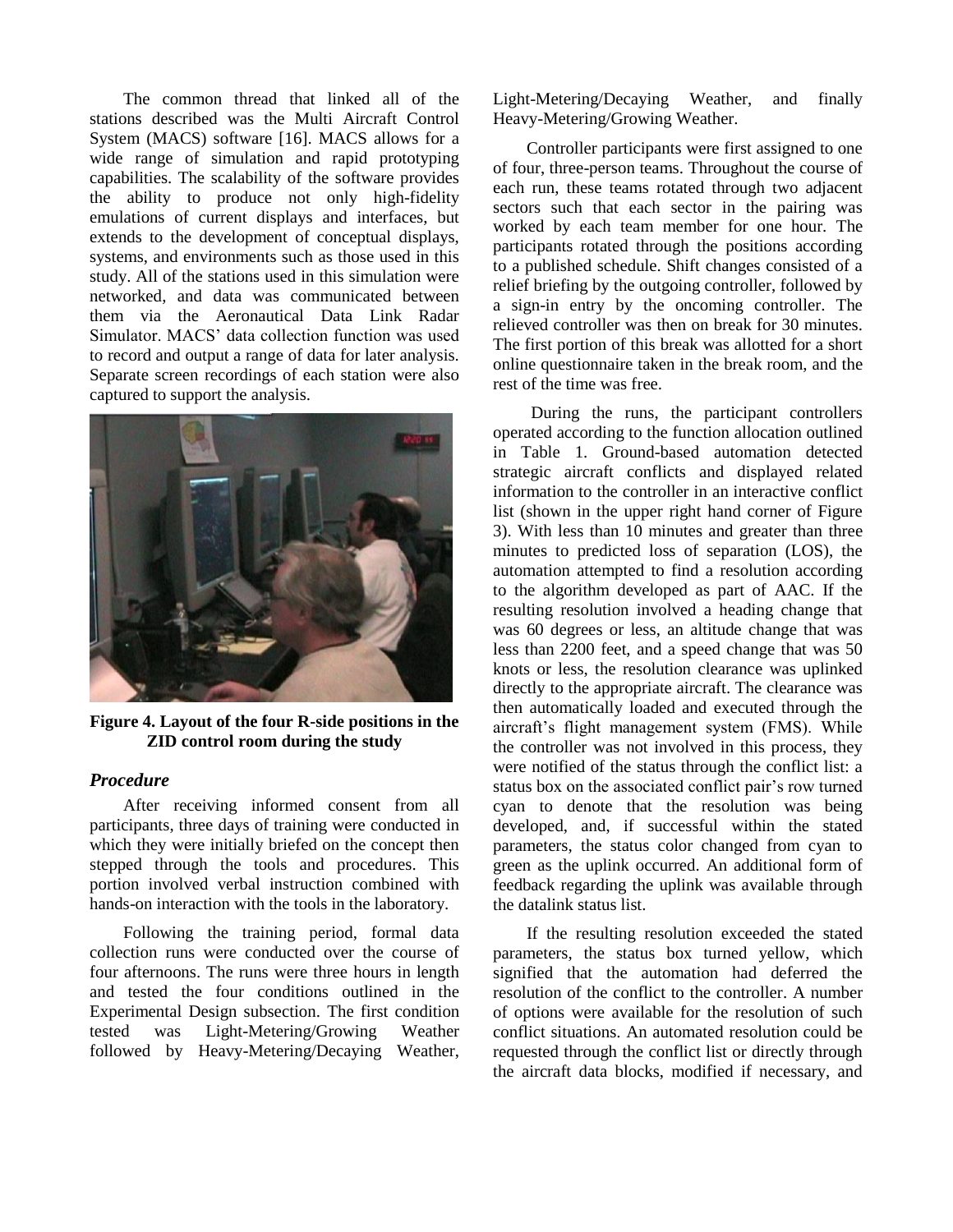The common thread that linked all of the stations described was the Multi Aircraft Control System (MACS) software [16]. MACS allows for a wide range of simulation and rapid prototyping capabilities. The scalability of the software provides the ability to produce not only high-fidelity emulations of current displays and interfaces, but extends to the development of conceptual displays, systems, and environments such as those used in this study. All of the stations used in this simulation were networked, and data was communicated between them via the Aeronautical Data Link Radar Simulator. MACS' data collection function was used to record and output a range of data for later analysis. Separate screen recordings of each station were also captured to support the analysis.



**Figure 4. Layout of the four R-side positions in the ZID control room during the study**

#### *Procedure*

After receiving informed consent from all participants, three days of training were conducted in which they were initially briefed on the concept then stepped through the tools and procedures. This portion involved verbal instruction combined with hands-on interaction with the tools in the laboratory.

Following the training period, formal data collection runs were conducted over the course of four afternoons. The runs were three hours in length and tested the four conditions outlined in the Experimental Design subsection. The first condition tested was Light-Metering/Growing Weather followed by Heavy-Metering/Decaying Weather, Light-Metering/Decaying Weather, and finally Heavy-Metering/Growing Weather.

Controller participants were first assigned to one of four, three-person teams. Throughout the course of each run, these teams rotated through two adjacent sectors such that each sector in the pairing was worked by each team member for one hour. The participants rotated through the positions according to a published schedule. Shift changes consisted of a relief briefing by the outgoing controller, followed by a sign-in entry by the oncoming controller. The relieved controller was then on break for 30 minutes. The first portion of this break was allotted for a short online questionnaire taken in the break room, and the rest of the time was free.

During the runs, the participant controllers operated according to the function allocation outlined in Table 1. Ground-based automation detected strategic aircraft conflicts and displayed related information to the controller in an interactive conflict list (shown in the upper right hand corner of Figure 3). With less than 10 minutes and greater than three minutes to predicted loss of separation (LOS), the automation attempted to find a resolution according to the algorithm developed as part of AAC. If the resulting resolution involved a heading change that was 60 degrees or less, an altitude change that was less than 2200 feet, and a speed change that was 50 knots or less, the resolution clearance was uplinked directly to the appropriate aircraft. The clearance was then automatically loaded and executed through the aircraft's flight management system (FMS). While the controller was not involved in this process, they were notified of the status through the conflict list: a status box on the associated conflict pair's row turned cyan to denote that the resolution was being developed, and, if successful within the stated parameters, the status color changed from cyan to green as the uplink occurred. An additional form of feedback regarding the uplink was available through the datalink status list.

If the resulting resolution exceeded the stated parameters, the status box turned yellow, which signified that the automation had deferred the resolution of the conflict to the controller. A number of options were available for the resolution of such conflict situations. An automated resolution could be requested through the conflict list or directly through the aircraft data blocks, modified if necessary, and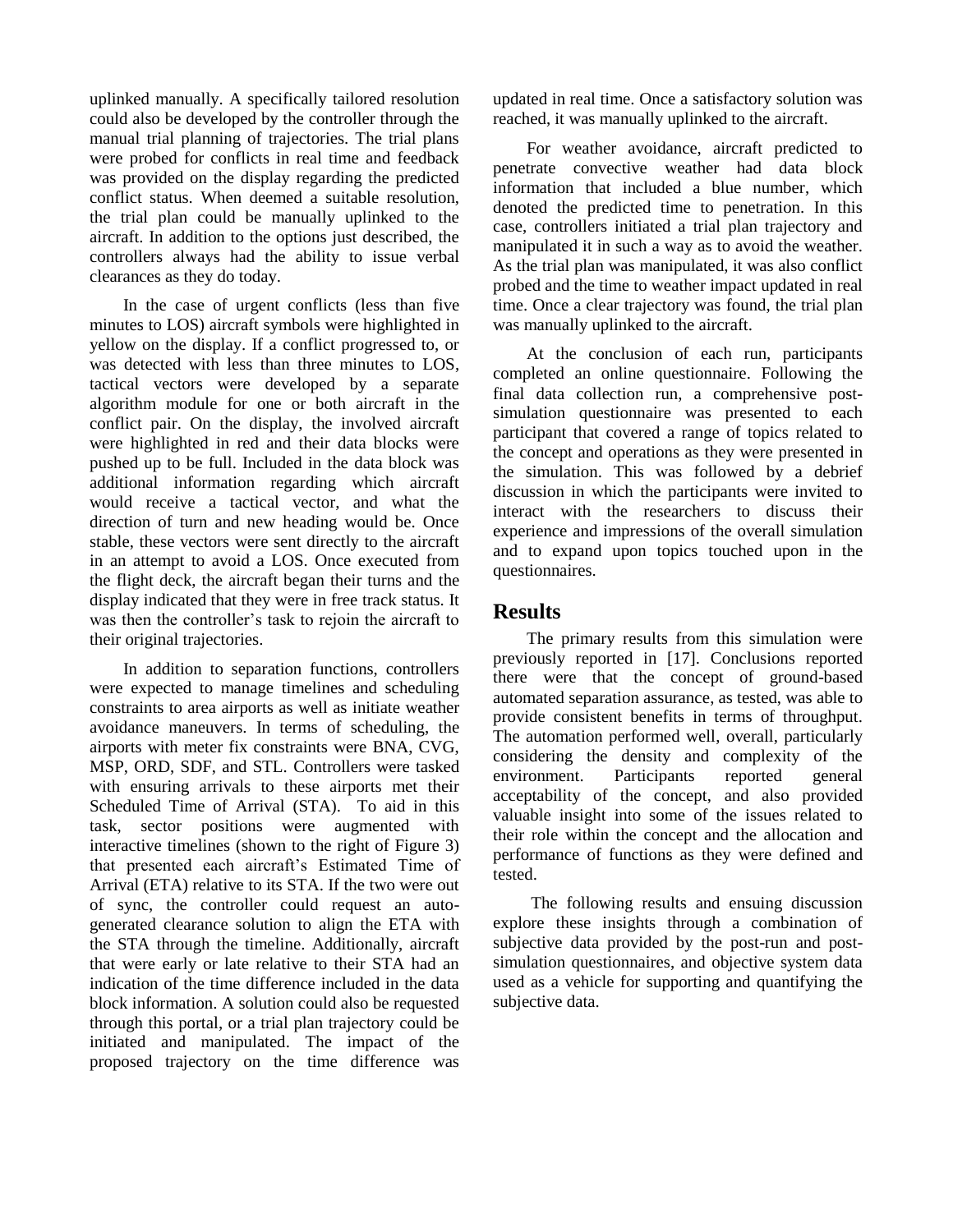uplinked manually. A specifically tailored resolution could also be developed by the controller through the manual trial planning of trajectories. The trial plans were probed for conflicts in real time and feedback was provided on the display regarding the predicted conflict status. When deemed a suitable resolution, the trial plan could be manually uplinked to the aircraft. In addition to the options just described, the controllers always had the ability to issue verbal clearances as they do today.

In the case of urgent conflicts (less than five minutes to LOS) aircraft symbols were highlighted in yellow on the display. If a conflict progressed to, or was detected with less than three minutes to LOS, tactical vectors were developed by a separate algorithm module for one or both aircraft in the conflict pair. On the display, the involved aircraft were highlighted in red and their data blocks were pushed up to be full. Included in the data block was additional information regarding which aircraft would receive a tactical vector, and what the direction of turn and new heading would be. Once stable, these vectors were sent directly to the aircraft in an attempt to avoid a LOS. Once executed from the flight deck, the aircraft began their turns and the display indicated that they were in free track status. It was then the controller's task to rejoin the aircraft to their original trajectories.

In addition to separation functions, controllers were expected to manage timelines and scheduling constraints to area airports as well as initiate weather avoidance maneuvers. In terms of scheduling, the airports with meter fix constraints were BNA, CVG, MSP, ORD, SDF, and STL. Controllers were tasked with ensuring arrivals to these airports met their Scheduled Time of Arrival (STA). To aid in this task, sector positions were augmented with interactive timelines (shown to the right of Figure 3) that presented each aircraft's Estimated Time of Arrival (ETA) relative to its STA. If the two were out of sync, the controller could request an autogenerated clearance solution to align the ETA with the STA through the timeline. Additionally, aircraft that were early or late relative to their STA had an indication of the time difference included in the data block information. A solution could also be requested through this portal, or a trial plan trajectory could be initiated and manipulated. The impact of the proposed trajectory on the time difference was updated in real time. Once a satisfactory solution was reached, it was manually uplinked to the aircraft.

For weather avoidance, aircraft predicted to penetrate convective weather had data block information that included a blue number, which denoted the predicted time to penetration. In this case, controllers initiated a trial plan trajectory and manipulated it in such a way as to avoid the weather. As the trial plan was manipulated, it was also conflict probed and the time to weather impact updated in real time. Once a clear trajectory was found, the trial plan was manually uplinked to the aircraft.

At the conclusion of each run, participants completed an online questionnaire. Following the final data collection run, a comprehensive postsimulation questionnaire was presented to each participant that covered a range of topics related to the concept and operations as they were presented in the simulation. This was followed by a debrief discussion in which the participants were invited to interact with the researchers to discuss their experience and impressions of the overall simulation and to expand upon topics touched upon in the questionnaires.

## **Results**

The primary results from this simulation were previously reported in [17]. Conclusions reported there were that the concept of ground-based automated separation assurance, as tested, was able to provide consistent benefits in terms of throughput. The automation performed well, overall, particularly considering the density and complexity of the environment. Participants reported general acceptability of the concept, and also provided valuable insight into some of the issues related to their role within the concept and the allocation and performance of functions as they were defined and tested.

The following results and ensuing discussion explore these insights through a combination of subjective data provided by the post-run and postsimulation questionnaires, and objective system data used as a vehicle for supporting and quantifying the subjective data.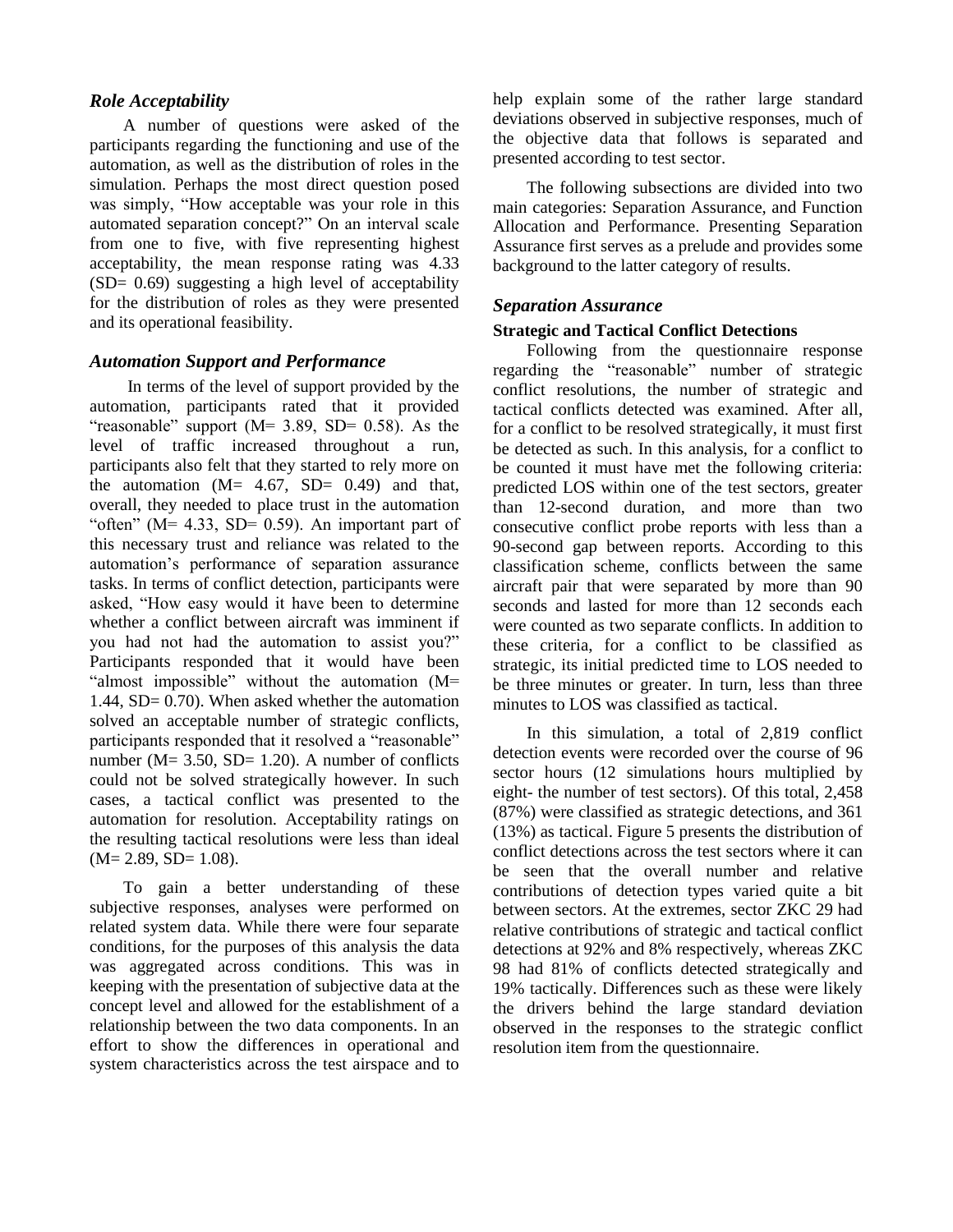#### *Role Acceptability*

A number of questions were asked of the participants regarding the functioning and use of the automation, as well as the distribution of roles in the simulation. Perhaps the most direct question posed was simply, "How acceptable was your role in this automated separation concept?" On an interval scale from one to five, with five representing highest acceptability, the mean response rating was 4.33  $(SD= 0.69)$  suggesting a high level of acceptability for the distribution of roles as they were presented and its operational feasibility.

#### *Automation Support and Performance*

In terms of the level of support provided by the automation, participants rated that it provided "reasonable" support  $(M= 3.89, SD= 0.58)$ . As the level of traffic increased throughout a run, participants also felt that they started to rely more on the automation  $(M= 4.67, SD= 0.49)$  and that, overall, they needed to place trust in the automation "often" ( $M = 4.33$ , SD= 0.59). An important part of this necessary trust and reliance was related to the automation's performance of separation assurance tasks. In terms of conflict detection, participants were asked, "How easy would it have been to determine whether a conflict between aircraft was imminent if you had not had the automation to assist you?" Participants responded that it would have been "almost impossible" without the automation (M= 1.44, SD= 0.70). When asked whether the automation solved an acceptable number of strategic conflicts, participants responded that it resolved a "reasonable" number ( $M = 3.50$ ,  $SD = 1.20$ ). A number of conflicts could not be solved strategically however. In such cases, a tactical conflict was presented to the automation for resolution. Acceptability ratings on the resulting tactical resolutions were less than ideal  $(M= 2.89, SD= 1.08).$ 

To gain a better understanding of these subjective responses, analyses were performed on related system data. While there were four separate conditions, for the purposes of this analysis the data was aggregated across conditions. This was in keeping with the presentation of subjective data at the concept level and allowed for the establishment of a relationship between the two data components. In an effort to show the differences in operational and system characteristics across the test airspace and to help explain some of the rather large standard deviations observed in subjective responses, much of the objective data that follows is separated and presented according to test sector.

The following subsections are divided into two main categories: Separation Assurance, and Function Allocation and Performance. Presenting Separation Assurance first serves as a prelude and provides some background to the latter category of results.

#### *Separation Assurance*

#### **Strategic and Tactical Conflict Detections**

Following from the questionnaire response regarding the "reasonable" number of strategic conflict resolutions, the number of strategic and tactical conflicts detected was examined. After all, for a conflict to be resolved strategically, it must first be detected as such. In this analysis, for a conflict to be counted it must have met the following criteria: predicted LOS within one of the test sectors, greater than 12-second duration, and more than two consecutive conflict probe reports with less than a 90-second gap between reports. According to this classification scheme, conflicts between the same aircraft pair that were separated by more than 90 seconds and lasted for more than 12 seconds each were counted as two separate conflicts. In addition to these criteria, for a conflict to be classified as strategic, its initial predicted time to LOS needed to be three minutes or greater. In turn, less than three minutes to LOS was classified as tactical.

In this simulation, a total of 2,819 conflict detection events were recorded over the course of 96 sector hours (12 simulations hours multiplied by eight- the number of test sectors). Of this total, 2,458 (87%) were classified as strategic detections, and 361 (13%) as tactical. Figure 5 presents the distribution of conflict detections across the test sectors where it can be seen that the overall number and relative contributions of detection types varied quite a bit between sectors. At the extremes, sector ZKC 29 had relative contributions of strategic and tactical conflict detections at 92% and 8% respectively, whereas ZKC 98 had 81% of conflicts detected strategically and 19% tactically. Differences such as these were likely the drivers behind the large standard deviation observed in the responses to the strategic conflict resolution item from the questionnaire.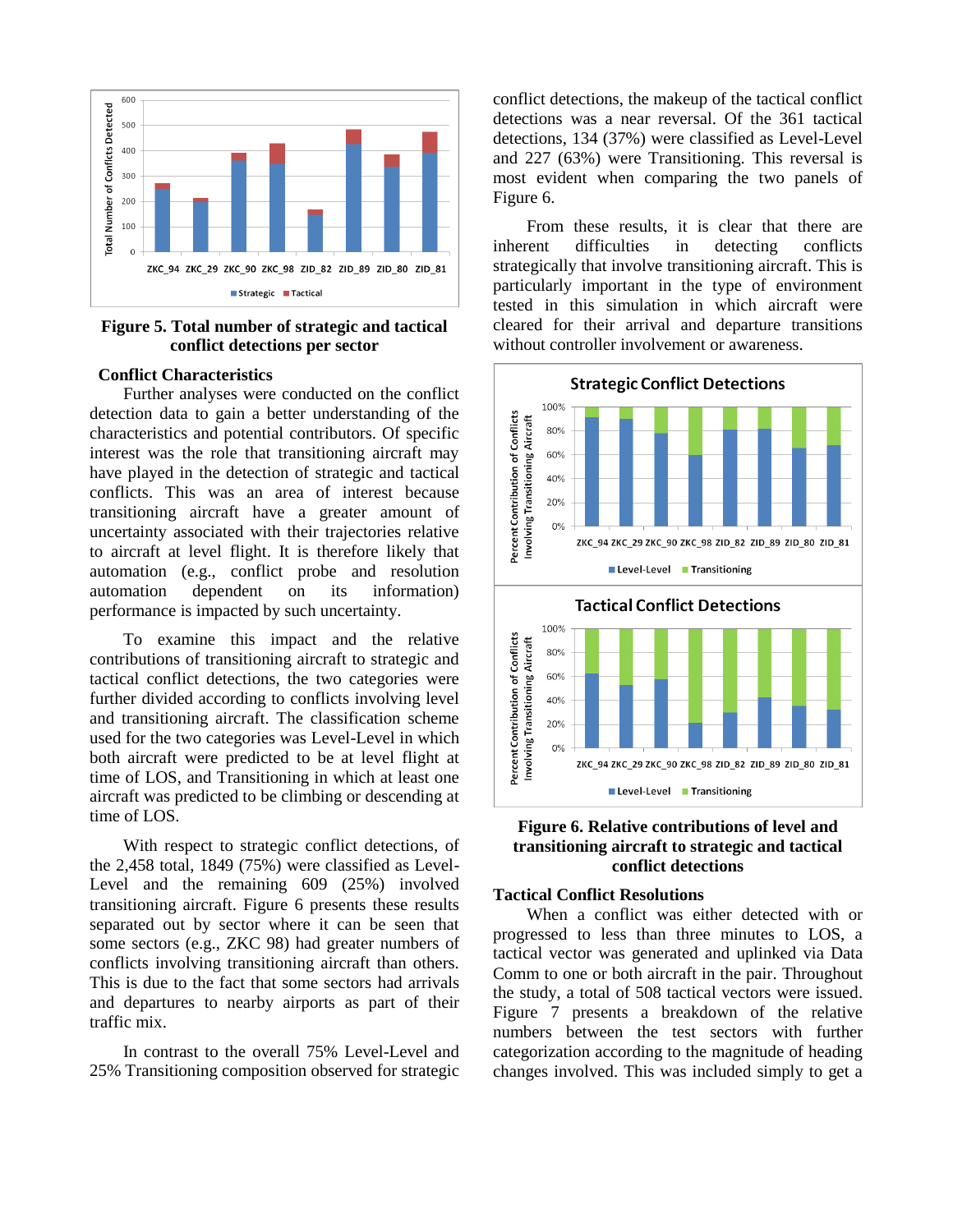

#### **Figure 5. Total number of strategic and tactical conflict detections per sector**

#### **Conflict Characteristics**

Further analyses were conducted on the conflict detection data to gain a better understanding of the characteristics and potential contributors. Of specific interest was the role that transitioning aircraft may have played in the detection of strategic and tactical conflicts. This was an area of interest because transitioning aircraft have a greater amount of uncertainty associated with their trajectories relative to aircraft at level flight. It is therefore likely that automation (e.g., conflict probe and resolution automation dependent on its information) performance is impacted by such uncertainty.

To examine this impact and the relative contributions of transitioning aircraft to strategic and tactical conflict detections, the two categories were further divided according to conflicts involving level and transitioning aircraft. The classification scheme used for the two categories was Level-Level in which both aircraft were predicted to be at level flight at time of LOS, and Transitioning in which at least one aircraft was predicted to be climbing or descending at time of LOS.

With respect to strategic conflict detections, of the 2,458 total, 1849 (75%) were classified as Level-Level and the remaining 609 (25%) involved transitioning aircraft. Figure 6 presents these results separated out by sector where it can be seen that some sectors (e.g., ZKC 98) had greater numbers of conflicts involving transitioning aircraft than others. This is due to the fact that some sectors had arrivals and departures to nearby airports as part of their traffic mix.

In contrast to the overall 75% Level-Level and 25% Transitioning composition observed for strategic conflict detections, the makeup of the tactical conflict detections was a near reversal. Of the 361 tactical detections, 134 (37%) were classified as Level-Level and 227 (63%) were Transitioning. This reversal is most evident when comparing the two panels of Figure 6.

From these results, it is clear that there are inherent difficulties in detecting conflicts strategically that involve transitioning aircraft. This is particularly important in the type of environment tested in this simulation in which aircraft were cleared for their arrival and departure transitions without controller involvement or awareness.



#### **Figure 6. Relative contributions of level and transitioning aircraft to strategic and tactical conflict detections**

#### **Tactical Conflict Resolutions**

When a conflict was either detected with or progressed to less than three minutes to LOS, a tactical vector was generated and uplinked via Data Comm to one or both aircraft in the pair. Throughout the study, a total of 508 tactical vectors were issued. Figure 7 presents a breakdown of the relative numbers between the test sectors with further categorization according to the magnitude of heading changes involved. This was included simply to get a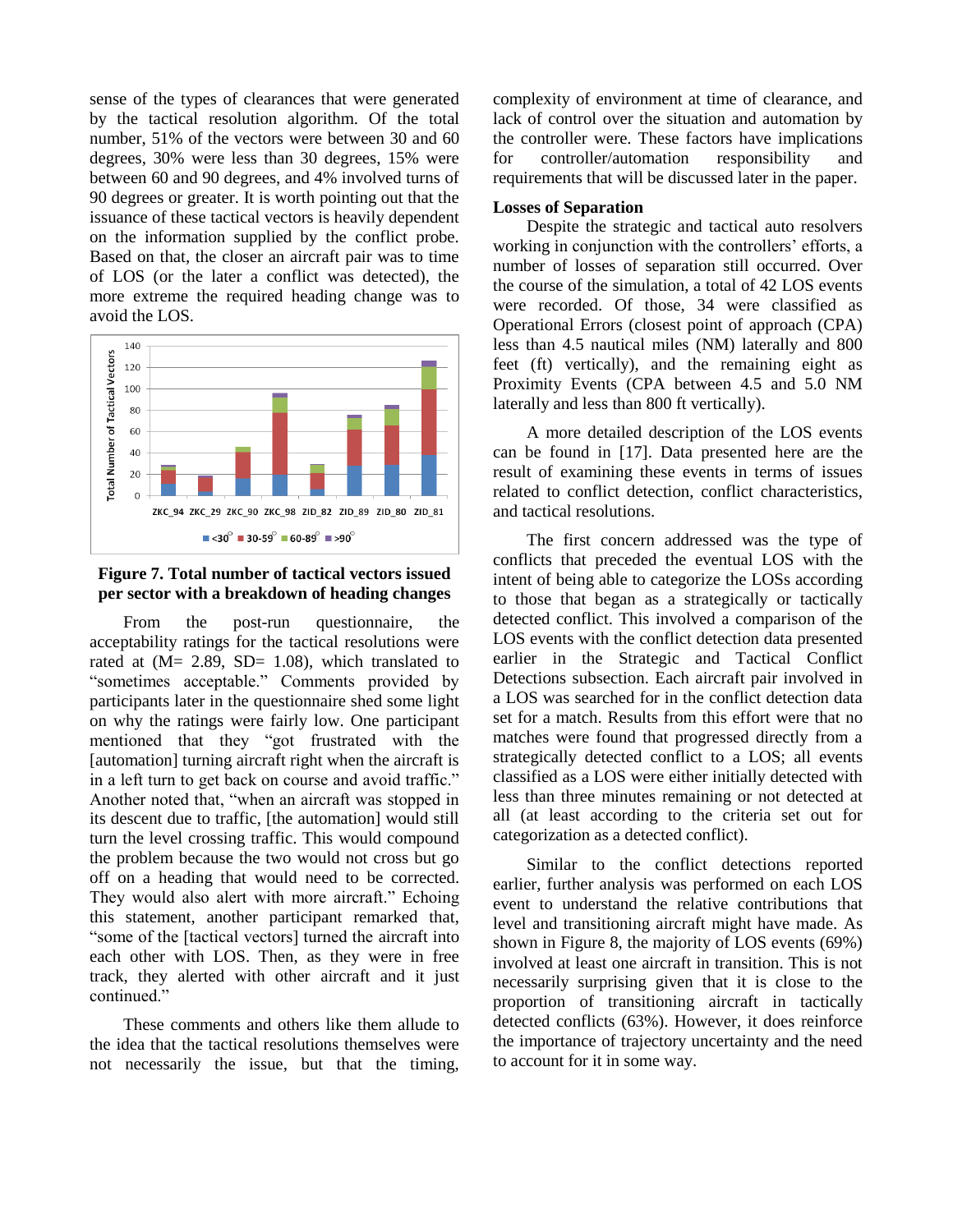sense of the types of clearances that were generated by the tactical resolution algorithm. Of the total number, 51% of the vectors were between 30 and 60 degrees, 30% were less than 30 degrees, 15% were between 60 and 90 degrees, and 4% involved turns of 90 degrees or greater. It is worth pointing out that the issuance of these tactical vectors is heavily dependent on the information supplied by the conflict probe. Based on that, the closer an aircraft pair was to time of LOS (or the later a conflict was detected), the more extreme the required heading change was to avoid the LOS.



#### **Figure 7. Total number of tactical vectors issued per sector with a breakdown of heading changes**

From the post-run questionnaire, the acceptability ratings for the tactical resolutions were rated at  $(M= 2.89, SD= 1.08)$ , which translated to "sometimes acceptable." Comments provided by participants later in the questionnaire shed some light on why the ratings were fairly low. One participant mentioned that they "got frustrated with the [automation] turning aircraft right when the aircraft is in a left turn to get back on course and avoid traffic." Another noted that, "when an aircraft was stopped in its descent due to traffic, [the automation] would still turn the level crossing traffic. This would compound the problem because the two would not cross but go off on a heading that would need to be corrected. They would also alert with more aircraft." Echoing this statement, another participant remarked that, "some of the [tactical vectors] turned the aircraft into each other with LOS. Then, as they were in free track, they alerted with other aircraft and it just continued."

These comments and others like them allude to the idea that the tactical resolutions themselves were not necessarily the issue, but that the timing, complexity of environment at time of clearance, and lack of control over the situation and automation by the controller were. These factors have implications for controller/automation responsibility and requirements that will be discussed later in the paper.

#### **Losses of Separation**

Despite the strategic and tactical auto resolvers working in conjunction with the controllers' efforts, a number of losses of separation still occurred. Over the course of the simulation, a total of 42 LOS events were recorded. Of those, 34 were classified as Operational Errors (closest point of approach (CPA) less than 4.5 nautical miles (NM) laterally and 800 feet (ft) vertically), and the remaining eight as Proximity Events (CPA between 4.5 and 5.0 NM laterally and less than 800 ft vertically).

A more detailed description of the LOS events can be found in [17]. Data presented here are the result of examining these events in terms of issues related to conflict detection, conflict characteristics, and tactical resolutions.

The first concern addressed was the type of conflicts that preceded the eventual LOS with the intent of being able to categorize the LOSs according to those that began as a strategically or tactically detected conflict. This involved a comparison of the LOS events with the conflict detection data presented earlier in the Strategic and Tactical Conflict Detections subsection. Each aircraft pair involved in a LOS was searched for in the conflict detection data set for a match. Results from this effort were that no matches were found that progressed directly from a strategically detected conflict to a LOS; all events classified as a LOS were either initially detected with less than three minutes remaining or not detected at all (at least according to the criteria set out for categorization as a detected conflict).

Similar to the conflict detections reported earlier, further analysis was performed on each LOS event to understand the relative contributions that level and transitioning aircraft might have made. As shown in Figure 8, the majority of LOS events (69%) involved at least one aircraft in transition. This is not necessarily surprising given that it is close to the proportion of transitioning aircraft in tactically detected conflicts (63%). However, it does reinforce the importance of trajectory uncertainty and the need to account for it in some way.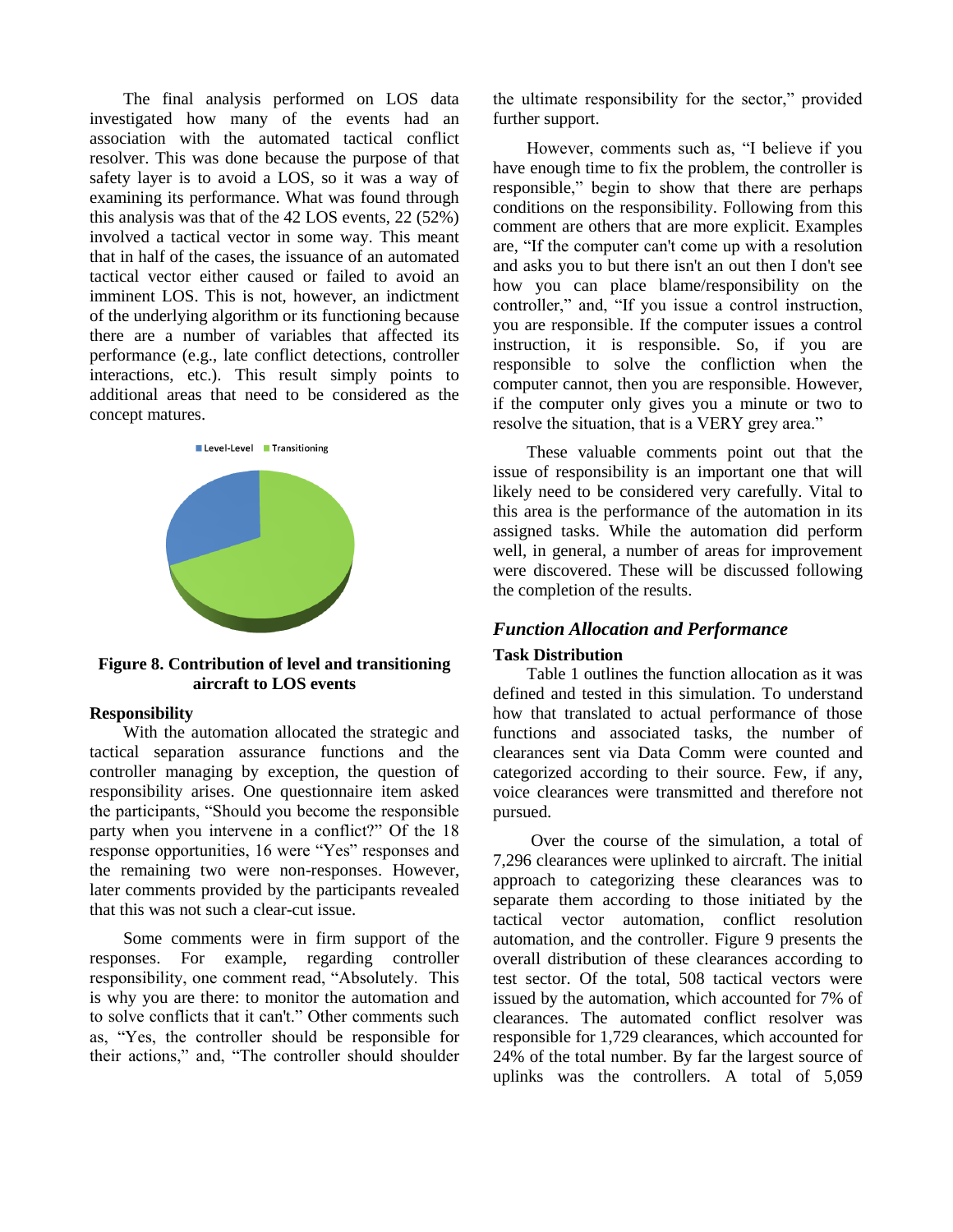The final analysis performed on LOS data investigated how many of the events had an association with the automated tactical conflict resolver. This was done because the purpose of that safety layer is to avoid a LOS, so it was a way of examining its performance. What was found through this analysis was that of the 42 LOS events, 22 (52%) involved a tactical vector in some way. This meant that in half of the cases, the issuance of an automated tactical vector either caused or failed to avoid an imminent LOS. This is not, however, an indictment of the underlying algorithm or its functioning because there are a number of variables that affected its performance (e.g., late conflict detections, controller interactions, etc.). This result simply points to additional areas that need to be considered as the concept matures.



**Figure 8. Contribution of level and transitioning aircraft to LOS events**

#### **Responsibility**

With the automation allocated the strategic and tactical separation assurance functions and the controller managing by exception, the question of responsibility arises. One questionnaire item asked the participants, "Should you become the responsible party when you intervene in a conflict?" Of the 18 response opportunities, 16 were "Yes" responses and the remaining two were non-responses. However, later comments provided by the participants revealed that this was not such a clear-cut issue.

Some comments were in firm support of the responses. For example, regarding controller responsibility, one comment read, "Absolutely. This is why you are there: to monitor the automation and to solve conflicts that it can't." Other comments such as, "Yes, the controller should be responsible for their actions," and, "The controller should shoulder

the ultimate responsibility for the sector," provided further support.

However, comments such as, "I believe if you have enough time to fix the problem, the controller is responsible," begin to show that there are perhaps conditions on the responsibility. Following from this comment are others that are more explicit. Examples are, "If the computer can't come up with a resolution and asks you to but there isn't an out then I don't see how you can place blame/responsibility on the controller," and, "If you issue a control instruction, you are responsible. If the computer issues a control instruction, it is responsible. So, if you are responsible to solve the confliction when the computer cannot, then you are responsible. However, if the computer only gives you a minute or two to resolve the situation, that is a VERY grey area."

These valuable comments point out that the issue of responsibility is an important one that will likely need to be considered very carefully. Vital to this area is the performance of the automation in its assigned tasks. While the automation did perform well, in general, a number of areas for improvement were discovered. These will be discussed following the completion of the results.

# *Function Allocation and Performance*

#### **Task Distribution**

Table 1 outlines the function allocation as it was defined and tested in this simulation. To understand how that translated to actual performance of those functions and associated tasks, the number of clearances sent via Data Comm were counted and categorized according to their source. Few, if any, voice clearances were transmitted and therefore not pursued.

Over the course of the simulation, a total of 7,296 clearances were uplinked to aircraft. The initial approach to categorizing these clearances was to separate them according to those initiated by the tactical vector automation, conflict resolution automation, and the controller. Figure 9 presents the overall distribution of these clearances according to test sector. Of the total, 508 tactical vectors were issued by the automation, which accounted for 7% of clearances. The automated conflict resolver was responsible for 1,729 clearances, which accounted for 24% of the total number. By far the largest source of uplinks was the controllers. A total of 5,059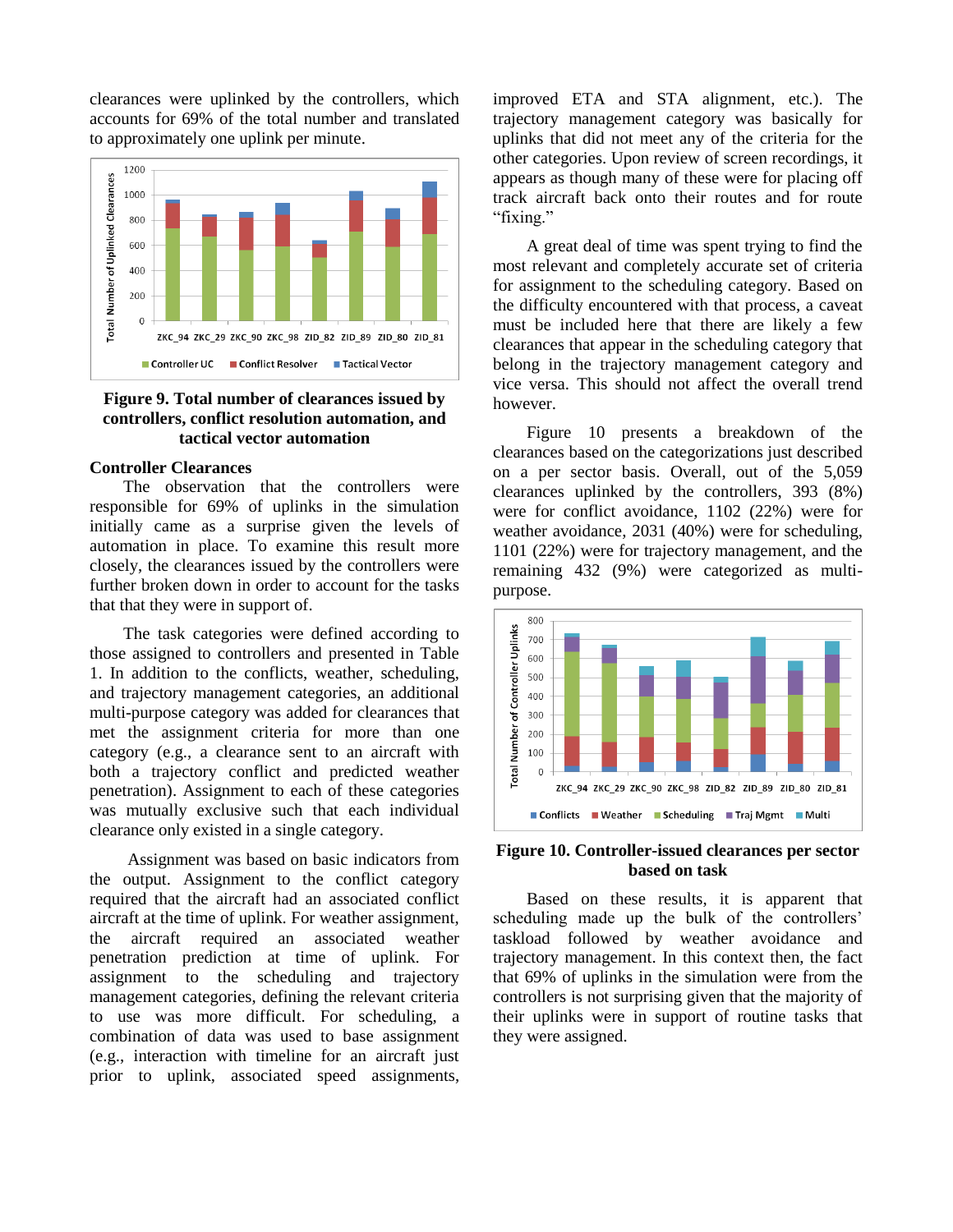clearances were uplinked by the controllers, which accounts for 69% of the total number and translated to approximately one uplink per minute.



#### **Figure 9. Total number of clearances issued by controllers, conflict resolution automation, and tactical vector automation**

#### **Controller Clearances**

The observation that the controllers were responsible for 69% of uplinks in the simulation initially came as a surprise given the levels of automation in place. To examine this result more closely, the clearances issued by the controllers were further broken down in order to account for the tasks that that they were in support of.

The task categories were defined according to those assigned to controllers and presented in Table 1. In addition to the conflicts, weather, scheduling, and trajectory management categories, an additional multi-purpose category was added for clearances that met the assignment criteria for more than one category (e.g., a clearance sent to an aircraft with both a trajectory conflict and predicted weather penetration). Assignment to each of these categories was mutually exclusive such that each individual clearance only existed in a single category.

Assignment was based on basic indicators from the output. Assignment to the conflict category required that the aircraft had an associated conflict aircraft at the time of uplink. For weather assignment, the aircraft required an associated weather penetration prediction at time of uplink. For assignment to the scheduling and trajectory management categories, defining the relevant criteria to use was more difficult. For scheduling, a combination of data was used to base assignment (e.g., interaction with timeline for an aircraft just prior to uplink, associated speed assignments, improved ETA and STA alignment, etc.). The trajectory management category was basically for uplinks that did not meet any of the criteria for the other categories. Upon review of screen recordings, it appears as though many of these were for placing off track aircraft back onto their routes and for route "fixing."

A great deal of time was spent trying to find the most relevant and completely accurate set of criteria for assignment to the scheduling category. Based on the difficulty encountered with that process, a caveat must be included here that there are likely a few clearances that appear in the scheduling category that belong in the trajectory management category and vice versa. This should not affect the overall trend however.

Figure 10 presents a breakdown of the clearances based on the categorizations just described on a per sector basis. Overall, out of the 5,059 clearances uplinked by the controllers, 393 (8%) were for conflict avoidance, 1102 (22%) were for weather avoidance, 2031 (40%) were for scheduling, 1101 (22%) were for trajectory management, and the remaining 432 (9%) were categorized as multipurpose.



#### **Figure 10. Controller-issued clearances per sector based on task**

Based on these results, it is apparent that scheduling made up the bulk of the controllers' taskload followed by weather avoidance and trajectory management. In this context then, the fact that 69% of uplinks in the simulation were from the controllers is not surprising given that the majority of their uplinks were in support of routine tasks that they were assigned.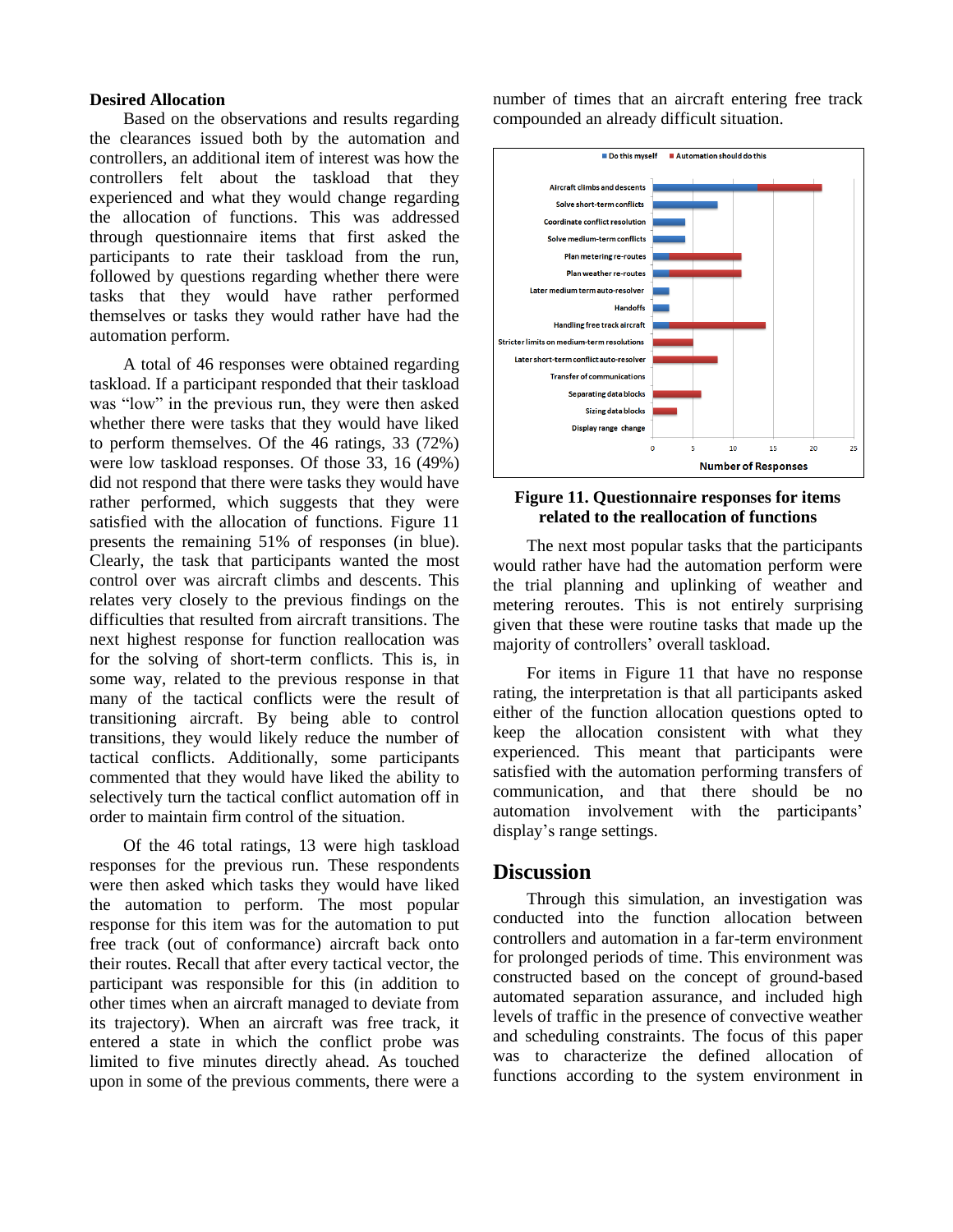#### **Desired Allocation**

Based on the observations and results regarding the clearances issued both by the automation and controllers, an additional item of interest was how the controllers felt about the taskload that they experienced and what they would change regarding the allocation of functions. This was addressed through questionnaire items that first asked the participants to rate their taskload from the run, followed by questions regarding whether there were tasks that they would have rather performed themselves or tasks they would rather have had the automation perform.

A total of 46 responses were obtained regarding taskload. If a participant responded that their taskload was "low" in the previous run, they were then asked whether there were tasks that they would have liked to perform themselves. Of the 46 ratings, 33 (72%) were low taskload responses. Of those 33, 16 (49%) did not respond that there were tasks they would have rather performed, which suggests that they were satisfied with the allocation of functions. Figure 11 presents the remaining 51% of responses (in blue). Clearly, the task that participants wanted the most control over was aircraft climbs and descents. This relates very closely to the previous findings on the difficulties that resulted from aircraft transitions. The next highest response for function reallocation was for the solving of short-term conflicts. This is, in some way, related to the previous response in that many of the tactical conflicts were the result of transitioning aircraft. By being able to control transitions, they would likely reduce the number of tactical conflicts. Additionally, some participants commented that they would have liked the ability to selectively turn the tactical conflict automation off in order to maintain firm control of the situation.

Of the 46 total ratings, 13 were high taskload responses for the previous run. These respondents were then asked which tasks they would have liked the automation to perform. The most popular response for this item was for the automation to put free track (out of conformance) aircraft back onto their routes. Recall that after every tactical vector, the participant was responsible for this (in addition to other times when an aircraft managed to deviate from its trajectory). When an aircraft was free track, it entered a state in which the conflict probe was limited to five minutes directly ahead. As touched upon in some of the previous comments, there were a number of times that an aircraft entering free track compounded an already difficult situation.



#### **Figure 11. Questionnaire responses for items related to the reallocation of functions**

The next most popular tasks that the participants would rather have had the automation perform were the trial planning and uplinking of weather and metering reroutes. This is not entirely surprising given that these were routine tasks that made up the majority of controllers' overall taskload.

For items in Figure 11 that have no response rating, the interpretation is that all participants asked either of the function allocation questions opted to keep the allocation consistent with what they experienced. This meant that participants were satisfied with the automation performing transfers of communication, and that there should be no automation involvement with the participants' display's range settings.

## **Discussion**

Through this simulation, an investigation was conducted into the function allocation between controllers and automation in a far-term environment for prolonged periods of time. This environment was constructed based on the concept of ground-based automated separation assurance, and included high levels of traffic in the presence of convective weather and scheduling constraints. The focus of this paper was to characterize the defined allocation of functions according to the system environment in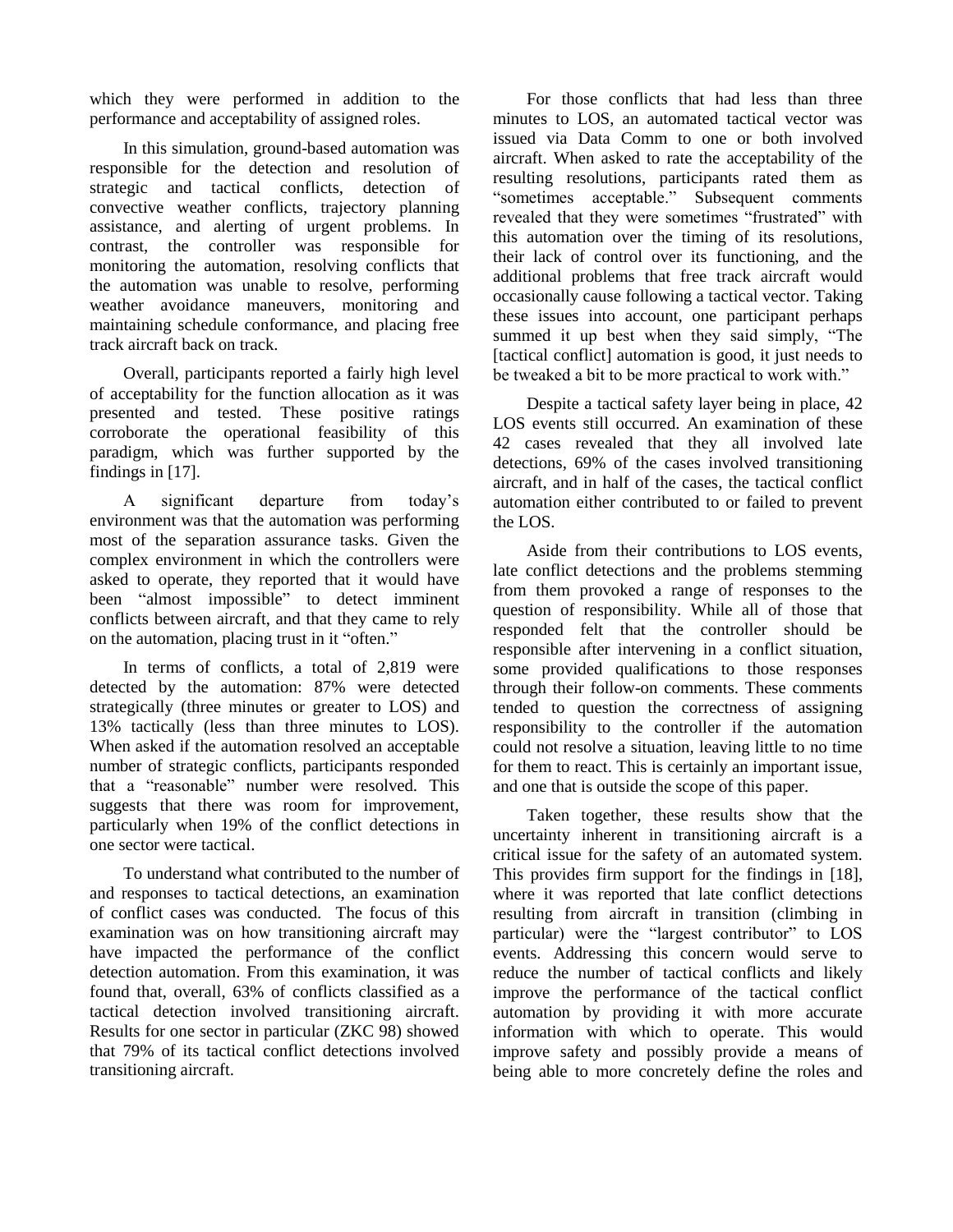which they were performed in addition to the performance and acceptability of assigned roles.

In this simulation, ground-based automation was responsible for the detection and resolution of strategic and tactical conflicts, detection of convective weather conflicts, trajectory planning assistance, and alerting of urgent problems. In contrast, the controller was responsible for monitoring the automation, resolving conflicts that the automation was unable to resolve, performing weather avoidance maneuvers, monitoring and maintaining schedule conformance, and placing free track aircraft back on track.

Overall, participants reported a fairly high level of acceptability for the function allocation as it was presented and tested. These positive ratings corroborate the operational feasibility of this paradigm, which was further supported by the findings in [17].

A significant departure from today's environment was that the automation was performing most of the separation assurance tasks. Given the complex environment in which the controllers were asked to operate, they reported that it would have been "almost impossible" to detect imminent conflicts between aircraft, and that they came to rely on the automation, placing trust in it "often."

In terms of conflicts, a total of 2,819 were detected by the automation: 87% were detected strategically (three minutes or greater to LOS) and 13% tactically (less than three minutes to LOS). When asked if the automation resolved an acceptable number of strategic conflicts, participants responded that a "reasonable" number were resolved. This suggests that there was room for improvement, particularly when 19% of the conflict detections in one sector were tactical.

To understand what contributed to the number of and responses to tactical detections, an examination of conflict cases was conducted. The focus of this examination was on how transitioning aircraft may have impacted the performance of the conflict detection automation. From this examination, it was found that, overall, 63% of conflicts classified as a tactical detection involved transitioning aircraft. Results for one sector in particular (ZKC 98) showed that 79% of its tactical conflict detections involved transitioning aircraft.

For those conflicts that had less than three minutes to LOS, an automated tactical vector was issued via Data Comm to one or both involved aircraft. When asked to rate the acceptability of the resulting resolutions, participants rated them as "sometimes acceptable." Subsequent comments revealed that they were sometimes "frustrated" with this automation over the timing of its resolutions, their lack of control over its functioning, and the additional problems that free track aircraft would occasionally cause following a tactical vector. Taking these issues into account, one participant perhaps summed it up best when they said simply, "The [tactical conflict] automation is good, it just needs to be tweaked a bit to be more practical to work with."

Despite a tactical safety layer being in place, 42 LOS events still occurred. An examination of these 42 cases revealed that they all involved late detections, 69% of the cases involved transitioning aircraft, and in half of the cases, the tactical conflict automation either contributed to or failed to prevent the LOS.

Aside from their contributions to LOS events, late conflict detections and the problems stemming from them provoked a range of responses to the question of responsibility. While all of those that responded felt that the controller should be responsible after intervening in a conflict situation, some provided qualifications to those responses through their follow-on comments. These comments tended to question the correctness of assigning responsibility to the controller if the automation could not resolve a situation, leaving little to no time for them to react. This is certainly an important issue, and one that is outside the scope of this paper.

Taken together, these results show that the uncertainty inherent in transitioning aircraft is a critical issue for the safety of an automated system. This provides firm support for the findings in [18], where it was reported that late conflict detections resulting from aircraft in transition (climbing in particular) were the "largest contributor" to LOS events. Addressing this concern would serve to reduce the number of tactical conflicts and likely improve the performance of the tactical conflict automation by providing it with more accurate information with which to operate. This would improve safety and possibly provide a means of being able to more concretely define the roles and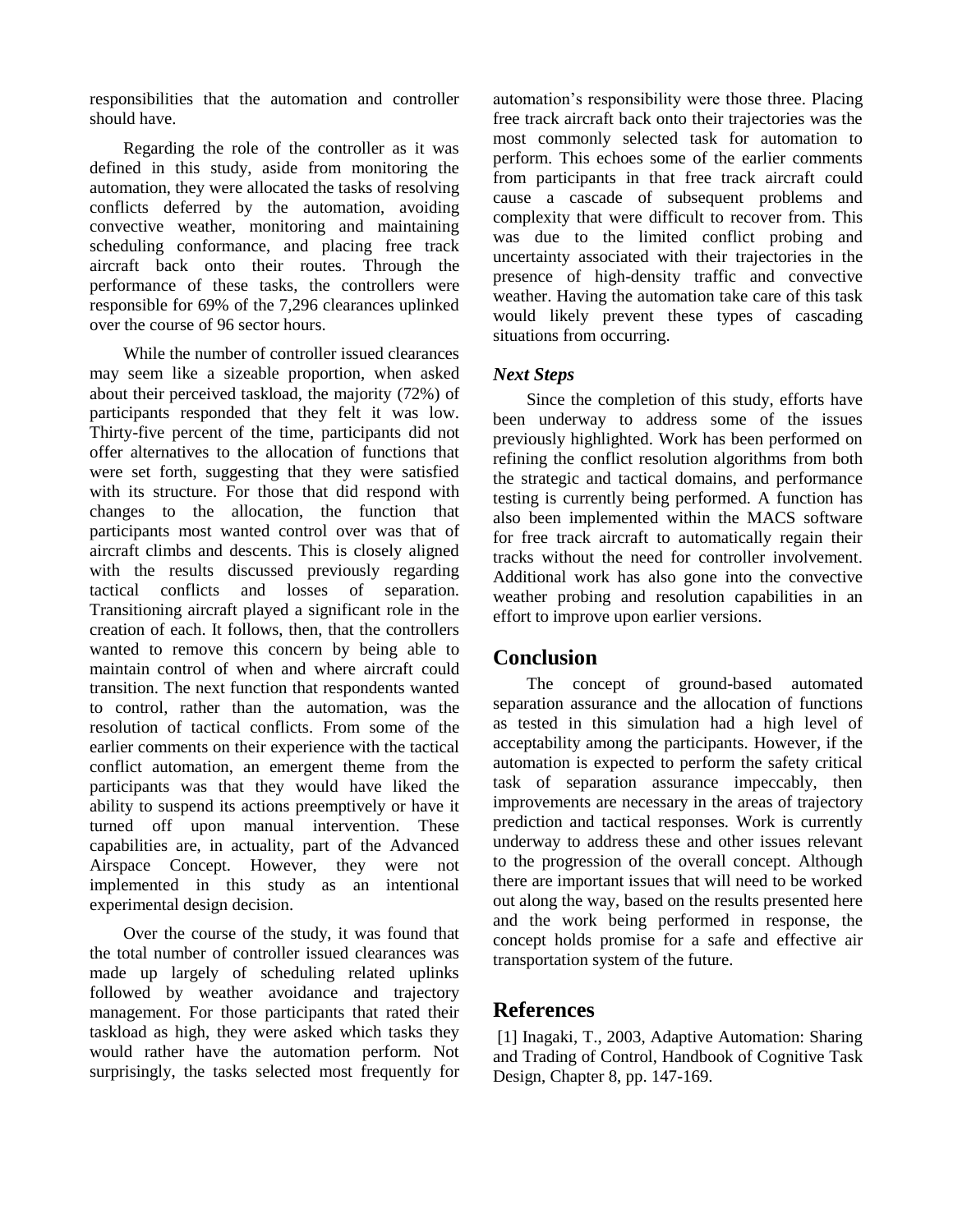responsibilities that the automation and controller should have.

Regarding the role of the controller as it was defined in this study, aside from monitoring the automation, they were allocated the tasks of resolving conflicts deferred by the automation, avoiding convective weather, monitoring and maintaining scheduling conformance, and placing free track aircraft back onto their routes. Through the performance of these tasks, the controllers were responsible for 69% of the 7,296 clearances uplinked over the course of 96 sector hours.

While the number of controller issued clearances may seem like a sizeable proportion, when asked about their perceived taskload, the majority (72%) of participants responded that they felt it was low. Thirty-five percent of the time, participants did not offer alternatives to the allocation of functions that were set forth, suggesting that they were satisfied with its structure. For those that did respond with changes to the allocation, the function that participants most wanted control over was that of aircraft climbs and descents. This is closely aligned with the results discussed previously regarding tactical conflicts and losses of separation. Transitioning aircraft played a significant role in the creation of each. It follows, then, that the controllers wanted to remove this concern by being able to maintain control of when and where aircraft could transition. The next function that respondents wanted to control, rather than the automation, was the resolution of tactical conflicts. From some of the earlier comments on their experience with the tactical conflict automation, an emergent theme from the participants was that they would have liked the ability to suspend its actions preemptively or have it turned off upon manual intervention. These capabilities are, in actuality, part of the Advanced Airspace Concept. However, they were not implemented in this study as an intentional experimental design decision.

Over the course of the study, it was found that the total number of controller issued clearances was made up largely of scheduling related uplinks followed by weather avoidance and trajectory management. For those participants that rated their taskload as high, they were asked which tasks they would rather have the automation perform. Not surprisingly, the tasks selected most frequently for automation's responsibility were those three. Placing free track aircraft back onto their trajectories was the most commonly selected task for automation to perform. This echoes some of the earlier comments from participants in that free track aircraft could cause a cascade of subsequent problems and complexity that were difficult to recover from. This was due to the limited conflict probing and uncertainty associated with their trajectories in the presence of high-density traffic and convective weather. Having the automation take care of this task would likely prevent these types of cascading situations from occurring.

### *Next Steps*

Since the completion of this study, efforts have been underway to address some of the issues previously highlighted. Work has been performed on refining the conflict resolution algorithms from both the strategic and tactical domains, and performance testing is currently being performed. A function has also been implemented within the MACS software for free track aircraft to automatically regain their tracks without the need for controller involvement. Additional work has also gone into the convective weather probing and resolution capabilities in an effort to improve upon earlier versions.

# **Conclusion**

The concept of ground-based automated separation assurance and the allocation of functions as tested in this simulation had a high level of acceptability among the participants. However, if the automation is expected to perform the safety critical task of separation assurance impeccably, then improvements are necessary in the areas of trajectory prediction and tactical responses. Work is currently underway to address these and other issues relevant to the progression of the overall concept. Although there are important issues that will need to be worked out along the way, based on the results presented here and the work being performed in response, the concept holds promise for a safe and effective air transportation system of the future.

# **References**

[1] Inagaki, T., 2003, Adaptive Automation: Sharing and Trading of Control, Handbook of Cognitive Task Design, Chapter 8, pp. 147-169.